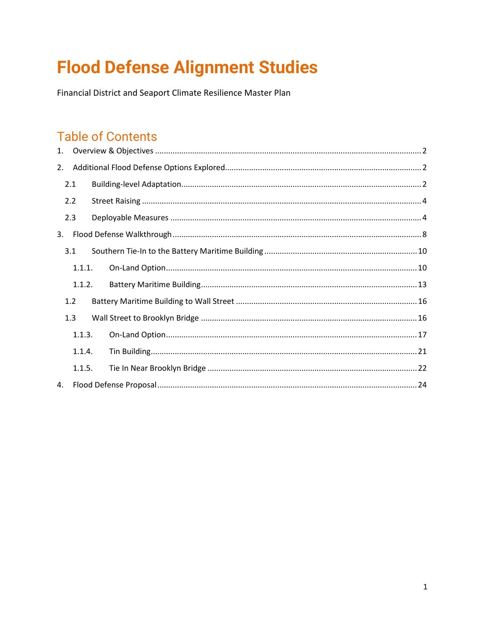# **Flood Defense Alignment Studies**

Financial District and Seaport Climate Resilience Master Plan

## **Table of Contents**

| 1. |        |  |  |
|----|--------|--|--|
| 2. |        |  |  |
|    | 2.1    |  |  |
|    | 2.2    |  |  |
|    | 2.3    |  |  |
| 3. |        |  |  |
|    | 3.1    |  |  |
|    | 1.1.1. |  |  |
|    | 1.1.2. |  |  |
|    | 1.2    |  |  |
|    | 1.3    |  |  |
|    | 1.1.3. |  |  |
|    | 1.1.4. |  |  |
|    | 1.1.5. |  |  |
| 4. |        |  |  |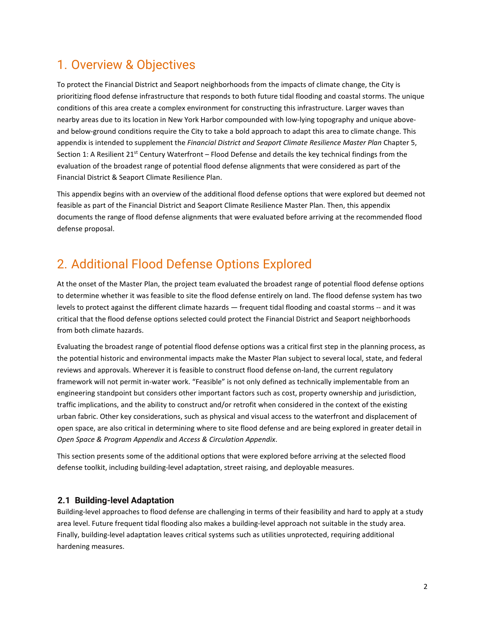## <span id="page-1-0"></span>1. Overview & Objectives

To protect the Financial District and Seaport neighborhoods from the impacts of climate change, the City is prioritizing flood defense infrastructure that responds to both future tidal flooding and coastal storms. The unique conditions of this area create a complex environment for constructing this infrastructure. Larger waves than nearby areas due to its location in New York Harbor compounded with low-lying topography and unique aboveand below-ground conditions require the City to take a bold approach to adapt this area to climate change. This appendix is intended to supplement the *Financial District and Seaport Climate Resilience Master Plan* Chapter 5, Section 1: A Resilient 21<sup>st</sup> Century Waterfront – Flood Defense and details the key technical findings from the evaluation of the broadest range of potential flood defense alignments that were considered as part of the Financial District & Seaport Climate Resilience Plan.

This appendix begins with an overview of the additional flood defense options that were explored but deemed not feasible as part of the Financial District and Seaport Climate Resilience Master Plan. Then, this appendix documents the range of flood defense alignments that were evaluated before arriving at the recommended flood defense proposal.

## <span id="page-1-1"></span>2. Additional Flood Defense Options Explored

At the onset of the Master Plan, the project team evaluated the broadest range of potential flood defense options to determine whether it was feasible to site the flood defense entirely on land. The flood defense system has two levels to protect against the different climate hazards — frequent tidal flooding and coastal storms -- and it was critical that the flood defense options selected could protect the Financial District and Seaport neighborhoods from both climate hazards.

Evaluating the broadest range of potential flood defense options was a critical first step in the planning process, as the potential historic and environmental impacts make the Master Plan subject to several local, state, and federal reviews and approvals. Wherever it is feasible to construct flood defense on-land, the current regulatory framework will not permit in-water work. "Feasible" is not only defined as technically implementable from an engineering standpoint but considers other important factors such as cost, property ownership and jurisdiction, traffic implications, and the ability to construct and/or retrofit when considered in the context of the existing urban fabric. Other key considerations, such as physical and visual access to the waterfront and displacement of open space, are also critical in determining where to site flood defense and are being explored in greater detail in *Open Space & Program Appendix* and *Access & Circulation Appendix*.

This section presents some of the additional options that were explored before arriving at the selected flood defense toolkit, including building-level adaptation, street raising, and deployable measures.

## <span id="page-1-2"></span>**2.1 Building-level Adaptation**

Building-level approaches to flood defense are challenging in terms of their feasibility and hard to apply at a study area level. Future frequent tidal flooding also makes a building-level approach not suitable in the study area. Finally, building-level adaptation leaves critical systems such as utilities unprotected, requiring additional hardening measures.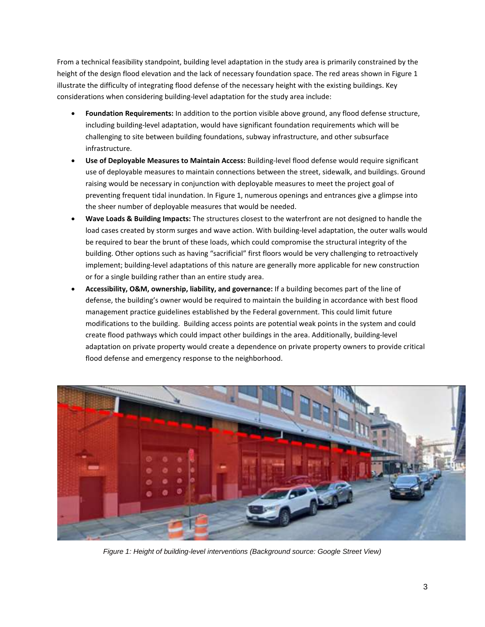From a technical feasibility standpoint, building level adaptation in the study area is primarily constrained by the height of the design flood elevation and the lack of necessary foundation space. The red areas shown i[n Figure 1](#page-2-0) illustrate the difficulty of integrating flood defense of the necessary height with the existing buildings. Key considerations when considering building-level adaptation for the study area include:

- **Foundation Requirements:** In addition to the portion visible above ground, any flood defense structure, including building-level adaptation, would have significant foundation requirements which will be challenging to site between building foundations, subway infrastructure, and other subsurface infrastructure.
- **Use of Deployable Measures to Maintain Access:** Building-level flood defense would require significant use of deployable measures to maintain connections between the street, sidewalk, and buildings. Ground raising would be necessary in conjunction with deployable measures to meet the project goal of preventing frequent tidal inundation. I[n Figure 1,](#page-2-0) numerous openings and entrances give a glimpse into the sheer number of deployable measures that would be needed.
- **Wave Loads & Building Impacts:** The structures closest to the waterfront are not designed to handle the load cases created by storm surges and wave action. With building-level adaptation, the outer walls would be required to bear the brunt of these loads, which could compromise the structural integrity of the building. Other options such as having "sacrificial" first floors would be very challenging to retroactively implement; building-level adaptations of this nature are generally more applicable for new construction or for a single building rather than an entire study area.
- **Accessibility, O&M, ownership, liability, and governance:** If a building becomes part of the line of defense, the building's owner would be required to maintain the building in accordance with best flood management practice guidelines established by the Federal government. This could limit future modifications to the building. Building access points are potential weak points in the system and could create flood pathways which could impact other buildings in the area. Additionally, building-level adaptation on private property would create a dependence on private property owners to provide critical flood defense and emergency response to the neighborhood.

<span id="page-2-0"></span>

*Figure 1: Height of building-level interventions (Background source: Google Street View)*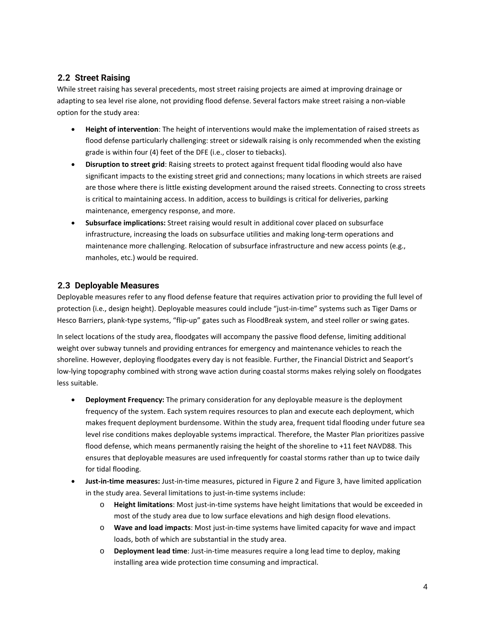## <span id="page-3-0"></span>**2.2 Street Raising**

While street raising has several precedents, most street raising projects are aimed at improving drainage or adapting to sea level rise alone, not providing flood defense. Several factors make street raising a non-viable option for the study area:

- **Height of intervention**: The height of interventions would make the implementation of raised streets as flood defense particularly challenging: street or sidewalk raising is only recommended when the existing grade is within four (4) feet of the DFE (i.e., closer to tiebacks).
- **Disruption to street grid**: Raising streets to protect against frequent tidal flooding would also have significant impacts to the existing street grid and connections; many locations in which streets are raised are those where there is little existing development around the raised streets. Connecting to cross streets is critical to maintaining access. In addition, access to buildings is critical for deliveries, parking maintenance, emergency response, and more.
- **Subsurface implications:** Street raising would result in additional cover placed on subsurface infrastructure, increasing the loads on subsurface utilities and making long-term operations and maintenance more challenging. Relocation of subsurface infrastructure and new access points (e.g., manholes, etc.) would be required.

## <span id="page-3-1"></span>**2.3 Deployable Measures**

Deployable measures refer to any flood defense feature that requires activation prior to providing the full level of protection (i.e., design height). Deployable measures could include "just-in-time" systems such as Tiger Dams or Hesco Barriers, plank-type systems, "flip-up" gates such as FloodBreak system, and steel roller or swing gates.

In select locations of the study area, floodgates will accompany the passive flood defense, limiting additional weight over subway tunnels and providing entrances for emergency and maintenance vehicles to reach the shoreline. However, deploying floodgates every day is not feasible. Further, the Financial District and Seaport's low-lying topography combined with strong wave action during coastal storms makes relying solely on floodgates less suitable.

- **Deployment Frequency:** The primary consideration for any deployable measure is the deployment frequency of the system. Each system requires resources to plan and execute each deployment, which makes frequent deployment burdensome. Within the study area, frequent tidal flooding under future sea level rise conditions makes deployable systems impractical. Therefore, the Master Plan prioritizes passive flood defense, which means permanently raising the height of the shoreline to +11 feet NAVD88. This ensures that deployable measures are used infrequently for coastal storms rather than up to twice daily for tidal flooding.
- **Just-in-time measures:** Just-in-time measures, pictured in [Figure 2 a](#page-4-0)n[d Figure 3,](#page-4-1) have limited application in the study area. Several limitations to just-in-time systems include:
	- o **Height limitations**: Most just-in-time systems have height limitations that would be exceeded in most of the study area due to low surface elevations and high design flood elevations.
	- o **Wave and load impacts**: Most just-in-time systems have limited capacity for wave and impact loads, both of which are substantial in the study area.
	- o **Deployment lead time**: Just-in-time measures require a long lead time to deploy, making installing area wide protection time consuming and impractical.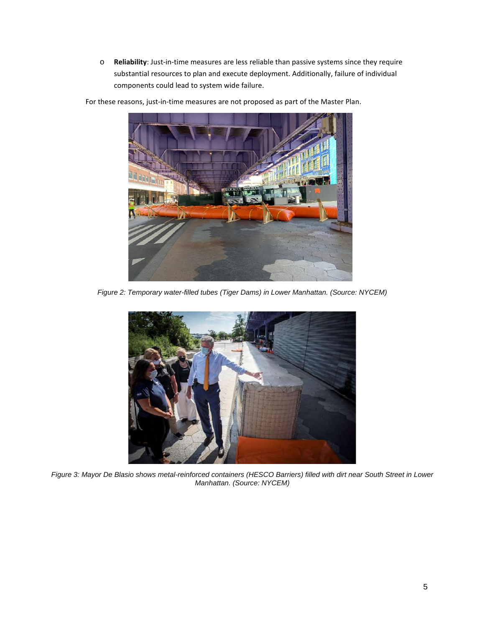o **Reliability**: Just-in-time measures are less reliable than passive systems since they require substantial resources to plan and execute deployment. Additionally, failure of individual components could lead to system wide failure.



For these reasons, just-in-time measures are not proposed as part of the Master Plan.

<span id="page-4-1"></span><span id="page-4-0"></span>*Figure 2: Temporary water-filled tubes (Tiger Dams) in Lower Manhattan. (Source: NYCEM)* 



*Figure 3: Mayor De Blasio shows metal-reinforced containers (HESCO Barriers) filled with dirt near South Street in Lower Manhattan. (Source: NYCEM)*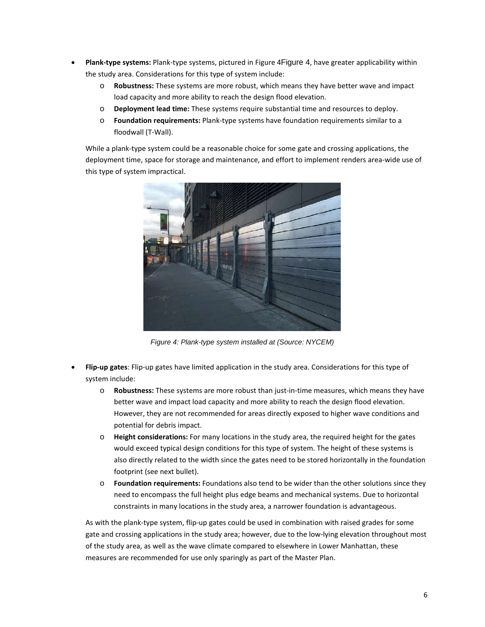- **Plank-type systems:** Plank-type systems, pictured i[n Figure 4](#page-5-0)[Figure 4](#page-5-0), have greater applicability within the study area. Considerations for this type of system include:
	- o **Robustness:** These systems are more robust, which means they have better wave and impact load capacity and more ability to reach the design flood elevation.
	- o **Deployment lead time:** These systems require substantial time and resources to deploy.
	- o **Foundation requirements:** Plank-type systems have foundation requirements similar to a floodwall (T-Wall).

While a plank-type system could be a reasonable choice for some gate and crossing applications, the deployment time, space for storage and maintenance, and effort to implement renders area-wide use of this type of system impractical.



*Figure 4: Plank-type system installed at (Source: NYCEM)* 

- <span id="page-5-0"></span> **Flip-up gates**: Flip-up gates have limited application in the study area. Considerations for this type of system include:
	- o **Robustness:** These systems are more robust than just-in-time measures, which means they have better wave and impact load capacity and more ability to reach the design flood elevation. However, they are not recommended for areas directly exposed to higher wave conditions and potential for debris impact.
	- o **Height considerations:** For many locations in the study area, the required height for the gates would exceed typical design conditions for this type of system. The height of these systems is also directly related to the width since the gates need to be stored horizontally in the foundation footprint (see next bullet).
	- o **Foundation requirements:** Foundations also tend to be wider than the other solutions since they need to encompass the full height plus edge beams and mechanical systems. Due to horizontal constraints in many locations in the study area, a narrower foundation is advantageous.

As with the plank-type system, flip-up gates could be used in combination with raised grades for some gate and crossing applications in the study area; however, due to the low-lying elevation throughout most of the study area, as well as the wave climate compared to elsewhere in Lower Manhattan, these measures are recommended for use only sparingly as part of the Master Plan.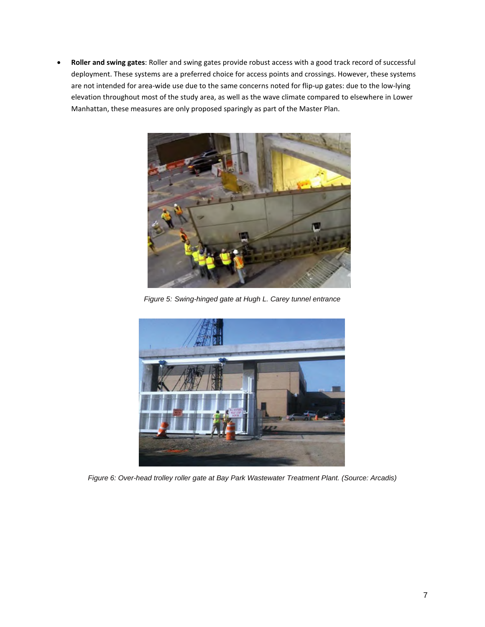**Roller and swing gates**: Roller and swing gates provide robust access with a good track record of successful deployment. These systems are a preferred choice for access points and crossings. However, these systems are not intended for area-wide use due to the same concerns noted for flip-up gates: due to the low-lying elevation throughout most of the study area, as well as the wave climate compared to elsewhere in Lower Manhattan, these measures are only proposed sparingly as part of the Master Plan.



*Figure 5: Swing-hinged gate at Hugh L. Carey tunnel entrance* 



*Figure 6: Over-head trolley roller gate at Bay Park Wastewater Treatment Plant. (Source: Arcadis)*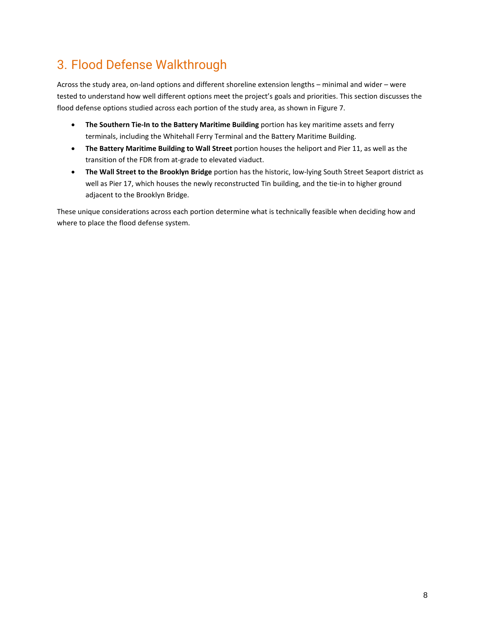## <span id="page-7-0"></span>3. Flood Defense Walkthrough

Across the study area, on-land options and different shoreline extension lengths – minimal and wider – were tested to understand how well different options meet the project's goals and priorities. This section discusses the flood defense options studied across each portion of the study area, as shown in [Figure 7.](#page-8-0)

- **The Southern Tie-In to the Battery Maritime Building** portion has key maritime assets and ferry terminals, including the Whitehall Ferry Terminal and the Battery Maritime Building.
- **The Battery Maritime Building to Wall Street** portion houses the heliport and Pier 11, as well as the transition of the FDR from at-grade to elevated viaduct.
- **The Wall Street to the Brooklyn Bridge** portion has the historic, low-lying South Street Seaport district as well as Pier 17, which houses the newly reconstructed Tin building, and the tie-in to higher ground adjacent to the Brooklyn Bridge.

These unique considerations across each portion determine what is technically feasible when deciding how and where to place the flood defense system.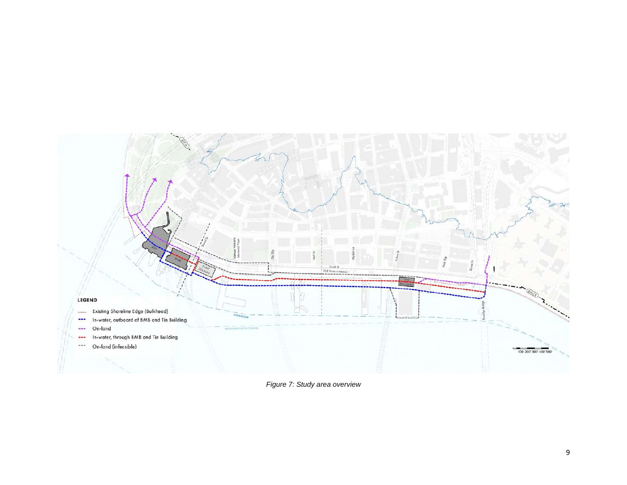

<span id="page-8-0"></span>*Figure 7: Study area overview*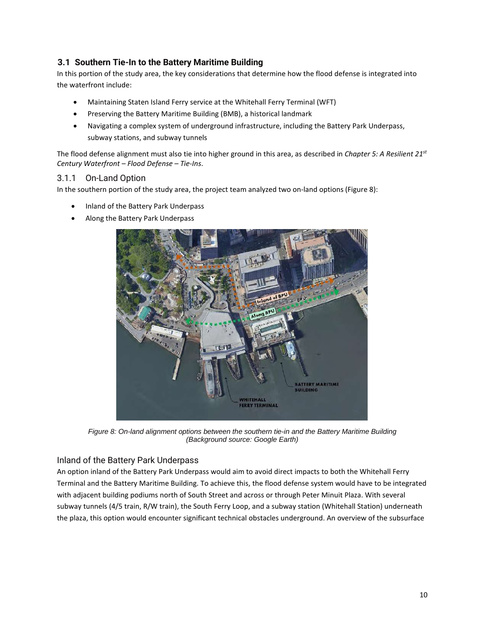## <span id="page-9-0"></span>**3.1 Southern Tie-In to the Battery Maritime Building**

In this portion of the study area, the key considerations that determine how the flood defense is integrated into the waterfront include:

- Maintaining Staten Island Ferry service at the Whitehall Ferry Terminal (WFT)
- Preserving the Battery Maritime Building (BMB), a historical landmark
- Navigating a complex system of underground infrastructure, including the Battery Park Underpass, subway stations, and subway tunnels

The flood defense alignment must also tie into higher ground in this area, as described in *Chapter 5: A Resilient 21st Century Waterfront – Flood Defense – Tie-Ins*.

## <span id="page-9-1"></span>3.1.1 On-Land Option

In the southern portion of the study area, the project team analyzed two on-land options [\(Figure 8\)](#page-9-2):

- Inland of the Battery Park Underpass
- Along the Battery Park Underpass



*Figure 8: On-land alignment options between the southern tie-in and the Battery Maritime Building (Background source: Google Earth)* 

## <span id="page-9-2"></span>Inland of the Battery Park Underpass

An option inland of the Battery Park Underpass would aim to avoid direct impacts to both the Whitehall Ferry Terminal and the Battery Maritime Building. To achieve this, the flood defense system would have to be integrated with adjacent building podiums north of South Street and across or through Peter Minuit Plaza. With several subway tunnels (4/5 train, R/W train), the South Ferry Loop, and a subway station (Whitehall Station) underneath the plaza, this option would encounter significant technical obstacles underground. An overview of the subsurface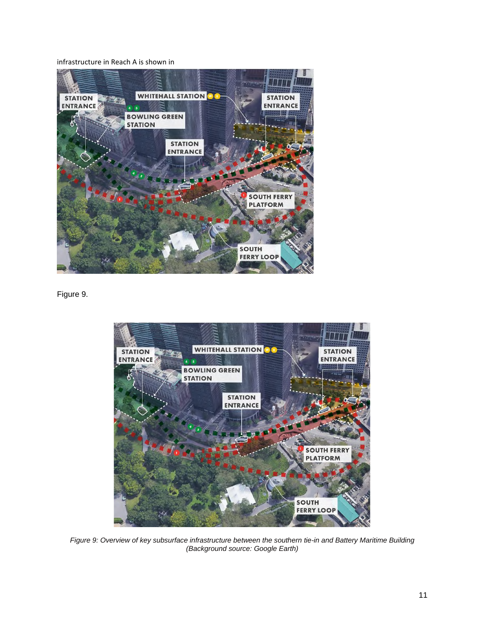infrastructure in Reach A is shown in



<span id="page-10-0"></span>[Figure 9](#page-10-0).



*Figure 9: Overview of key subsurface infrastructure between the southern tie-in and Battery Maritime Building (Background source: Google Earth)*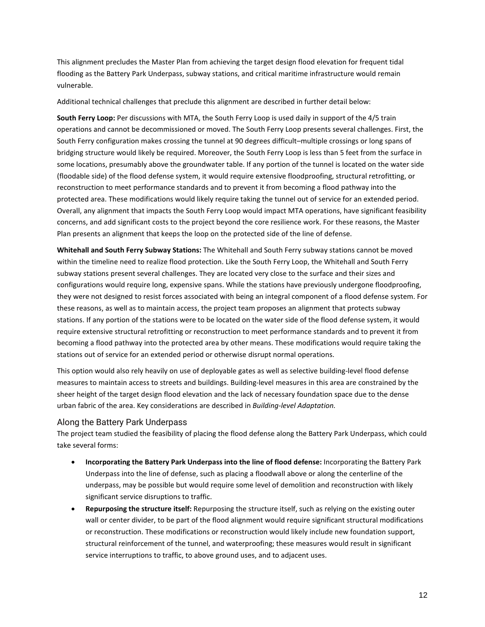This alignment precludes the Master Plan from achieving the target design flood elevation for frequent tidal flooding as the Battery Park Underpass, subway stations, and critical maritime infrastructure would remain vulnerable.

Additional technical challenges that preclude this alignment are described in further detail below:

**South Ferry Loop:** Per discussions with MTA, the South Ferry Loop is used daily in support of the 4/5 train operations and cannot be decommissioned or moved. The South Ferry Loop presents several challenges. First, the South Ferry configuration makes crossing the tunnel at 90 degrees difficult–multiple crossings or long spans of bridging structure would likely be required. Moreover, the South Ferry Loop is less than 5 feet from the surface in some locations, presumably above the groundwater table. If any portion of the tunnel is located on the water side (floodable side) of the flood defense system, it would require extensive floodproofing, structural retrofitting, or reconstruction to meet performance standards and to prevent it from becoming a flood pathway into the protected area. These modifications would likely require taking the tunnel out of service for an extended period. Overall, any alignment that impacts the South Ferry Loop would impact MTA operations, have significant feasibility concerns, and add significant costs to the project beyond the core resilience work. For these reasons, the Master Plan presents an alignment that keeps the loop on the protected side of the line of defense.

**Whitehall and South Ferry Subway Stations:** The Whitehall and South Ferry subway stations cannot be moved within the timeline need to realize flood protection. Like the South Ferry Loop, the Whitehall and South Ferry subway stations present several challenges. They are located very close to the surface and their sizes and configurations would require long, expensive spans. While the stations have previously undergone floodproofing, they were not designed to resist forces associated with being an integral component of a flood defense system. For these reasons, as well as to maintain access, the project team proposes an alignment that protects subway stations. If any portion of the stations were to be located on the water side of the flood defense system, it would require extensive structural retrofitting or reconstruction to meet performance standards and to prevent it from becoming a flood pathway into the protected area by other means. These modifications would require taking the stations out of service for an extended period or otherwise disrupt normal operations.

This option would also rely heavily on use of deployable gates as well as selective building-level flood defense measures to maintain access to streets and buildings. Building-level measures in this area are constrained by the sheer height of the target design flood elevation and the lack of necessary foundation space due to the dense urban fabric of the area. Key considerations are described in *[Building-level Adaptation.](#page-1-2)*

### Along the Battery Park Underpass

The project team studied the feasibility of placing the flood defense along the Battery Park Underpass, which could take several forms:

- **Incorporating the Battery Park Underpass into the line of flood defense:** Incorporating the Battery Park Underpass into the line of defense, such as placing a floodwall above or along the centerline of the underpass, may be possible but would require some level of demolition and reconstruction with likely significant service disruptions to traffic.
- **Repurposing the structure itself:** Repurposing the structure itself, such as relying on the existing outer wall or center divider, to be part of the flood alignment would require significant structural modifications or reconstruction. These modifications or reconstruction would likely include new foundation support, structural reinforcement of the tunnel, and waterproofing; these measures would result in significant service interruptions to traffic, to above ground uses, and to adjacent uses.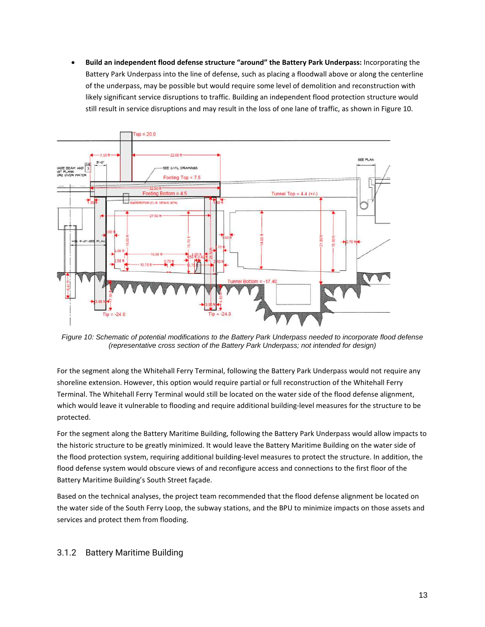**Build an independent flood defense structure "around" the Battery Park Underpass:** Incorporating the Battery Park Underpass into the line of defense, such as placing a floodwall above or along the centerline of the underpass, may be possible but would require some level of demolition and reconstruction with likely significant service disruptions to traffic. Building an independent flood protection structure would still result in service disruptions and may result in the loss of one lane of traffic, as shown i[n Figure 10.](#page-12-1) 



<span id="page-12-1"></span>*Figure 10: Schematic of potential modifications to the Battery Park Underpass needed to incorporate flood defense (representative cross section of the Battery Park Underpass; not intended for design)* 

For the segment along the Whitehall Ferry Terminal, following the Battery Park Underpass would not require any shoreline extension. However, this option would require partial or full reconstruction of the Whitehall Ferry Terminal. The Whitehall Ferry Terminal would still be located on the water side of the flood defense alignment, which would leave it vulnerable to flooding and require additional building-level measures for the structure to be protected.

For the segment along the Battery Maritime Building, following the Battery Park Underpass would allow impacts to the historic structure to be greatly minimized. It would leave the Battery Maritime Building on the water side of the flood protection system, requiring additional building-level measures to protect the structure. In addition, the flood defense system would obscure views of and reconfigure access and connections to the first floor of the Battery Maritime Building's South Street façade.

Based on the technical analyses, the project team recommended that the flood defense alignment be located on the water side of the South Ferry Loop, the subway stations, and the BPU to minimize impacts on those assets and services and protect them from flooding.

## <span id="page-12-0"></span>3.1.2 Battery Maritime Building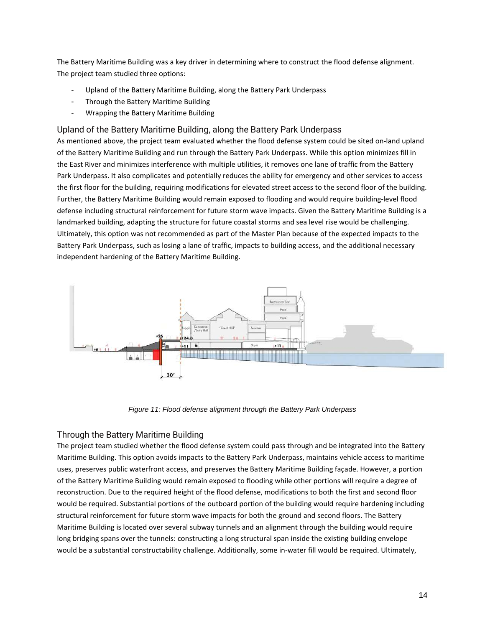The Battery Maritime Building was a key driver in determining where to construct the flood defense alignment. The project team studied three options:

- Upland of the Battery Maritime Building, along the Battery Park Underpass
- Through the Battery Maritime Building
- Wrapping the Battery Maritime Building

#### Upland of the Battery Maritime Building, along the Battery Park Underpass

As mentioned above, the project team evaluated whether the flood defense system could be sited on-land upland of the Battery Maritime Building and run through the Battery Park Underpass. While this option minimizes fill in the East River and minimizes interference with multiple utilities, it removes one lane of traffic from the Battery Park Underpass. It also complicates and potentially reduces the ability for emergency and other services to access the first floor for the building, requiring modifications for elevated street access to the second floor of the building. Further, the Battery Maritime Building would remain exposed to flooding and would require building-level flood defense including structural reinforcement for future storm wave impacts. Given the Battery Maritime Building is a landmarked building, adapting the structure for future coastal storms and sea level rise would be challenging. Ultimately, this option was not recommended as part of the Master Plan because of the expected impacts to the Battery Park Underpass, such as losing a lane of traffic, impacts to building access, and the additional necessary independent hardening of the Battery Maritime Building.



*Figure 11: Flood defense alignment through the Battery Park Underpass* 

### Through the Battery Maritime Building

The project team studied whether the flood defense system could pass through and be integrated into the Battery Maritime Building. This option avoids impacts to the Battery Park Underpass, maintains vehicle access to maritime uses, preserves public waterfront access, and preserves the Battery Maritime Building façade. However, a portion of the Battery Maritime Building would remain exposed to flooding while other portions will require a degree of reconstruction. Due to the required height of the flood defense, modifications to both the first and second floor would be required. Substantial portions of the outboard portion of the building would require hardening including structural reinforcement for future storm wave impacts for both the ground and second floors. The Battery Maritime Building is located over several subway tunnels and an alignment through the building would require long bridging spans over the tunnels: constructing a long structural span inside the existing building envelope would be a substantial constructability challenge. Additionally, some in-water fill would be required. Ultimately,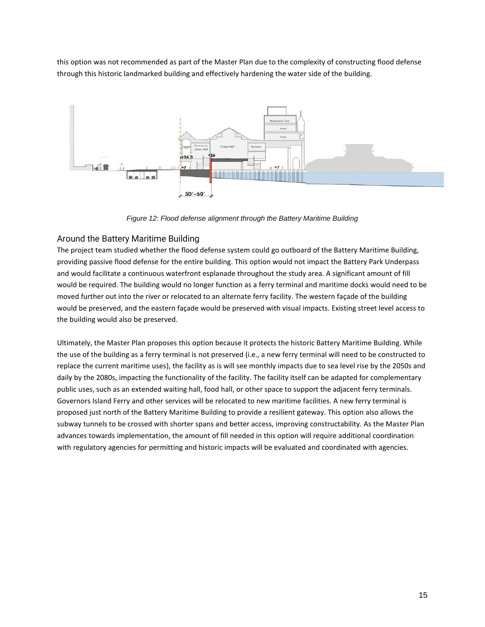this option was not recommended as part of the Master Plan due to the complexity of constructing flood defense through this historic landmarked building and effectively hardening the water side of the building.



*Figure 12: Flood defense alignment through the Battery Maritime Building* 

## Around the Battery Maritime Building

The project team studied whether the flood defense system could go outboard of the Battery Maritime Building, providing passive flood defense for the entire building. This option would not impact the Battery Park Underpass and would facilitate a continuous waterfront esplanade throughout the study area. A significant amount of fill would be required. The building would no longer function as a ferry terminal and maritime docks would need to be moved further out into the river or relocated to an alternate ferry facility. The western façade of the building would be preserved, and the eastern façade would be preserved with visual impacts. Existing street level access to the building would also be preserved.

Ultimately, the Master Plan proposes this option because it protects the historic Battery Maritime Building. While the use of the building as a ferry terminal is not preserved (i.e., a new ferry terminal will need to be constructed to replace the current maritime uses), the facility as is will see monthly impacts due to sea level rise by the 2050s and daily by the 2080s, impacting the functionality of the facility. The facility itself can be adapted for complementary public uses, such as an extended waiting hall, food hall, or other space to support the adjacent ferry terminals. Governors Island Ferry and other services will be relocated to new maritime facilities. A new ferry terminal is proposed just north of the Battery Maritime Building to provide a resilient gateway. This option also allows the subway tunnels to be crossed with shorter spans and better access, improving constructability. As the Master Plan advances towards implementation, the amount of fill needed in this option will require additional coordination with regulatory agencies for permitting and historic impacts will be evaluated and coordinated with agencies.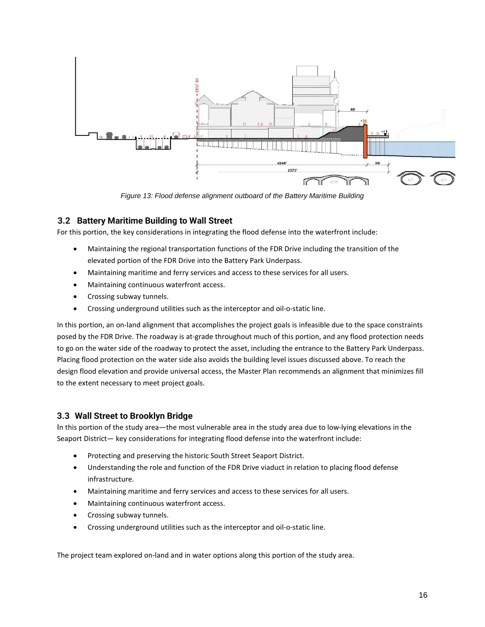

*Figure 13: Flood defense alignment outboard of the Battery Maritime Building* 

### <span id="page-15-0"></span>**3.2 Battery Maritime Building to Wall Street**

For this portion, the key considerations in integrating the flood defense into the waterfront include:

- Maintaining the regional transportation functions of the FDR Drive including the transition of the elevated portion of the FDR Drive into the Battery Park Underpass.
- Maintaining maritime and ferry services and access to these services for all users.
- Maintaining continuous waterfront access.
- Crossing subway tunnels.
- Crossing underground utilities such as the interceptor and oil-o-static line.

In this portion, an on-land alignment that accomplishes the project goals is infeasible due to the space constraints posed by the FDR Drive. The roadway is at-grade throughout much of this portion, and any flood protection needs to go on the water side of the roadway to protect the asset, including the entrance to the Battery Park Underpass. Placing flood protection on the water side also avoids the building level issues discussed above. To reach the design flood elevation and provide universal access, the Master Plan recommends an alignment that minimizes fill to the extent necessary to meet project goals.

#### <span id="page-15-1"></span>**3.3 Wall Street to Brooklyn Bridge**

In this portion of the study area—the most vulnerable area in the study area due to low-lying elevations in the Seaport District— key considerations for integrating flood defense into the waterfront include:

- Protecting and preserving the historic South Street Seaport District.
- Understanding the role and function of the FDR Drive viaduct in relation to placing flood defense infrastructure.
- Maintaining maritime and ferry services and access to these services for all users.
- Maintaining continuous waterfront access.
- Crossing subway tunnels.
- Crossing underground utilities such as the interceptor and oil-o-static line.

The project team explored on-land and in water options along this portion of the study area.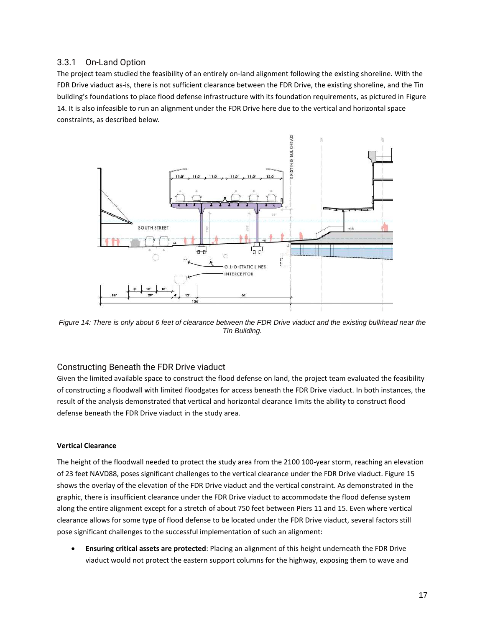## <span id="page-16-0"></span>3.3.1 On-Land Option

The project team studied the feasibility of an entirely on-land alignment following the existing shoreline. With the FDR Drive viaduct as-is, there is not sufficient clearance between the FDR Drive, the existing shoreline, and the Tin building's foundations to place flood defense infrastructure with its foundation requirements, as pictured in Figure 14. It is also infeasible to run an alignment under the FDR Drive here due to the vertical and horizontal space constraints, as described below*.* 



*Figure 14: There is only about 6 feet of clearance between the FDR Drive viaduct and the existing bulkhead near the Tin Building.* 

### Constructing Beneath the FDR Drive viaduct

Given the limited available space to construct the flood defense on land, the project team evaluated the feasibility of constructing a floodwall with limited floodgates for access beneath the FDR Drive viaduct. In both instances, the result of the analysis demonstrated that vertical and horizontal clearance limits the ability to construct flood defense beneath the FDR Drive viaduct in the study area.

#### **Vertical Clearance**

The height of the floodwall needed to protect the study area from the 2100 100-year storm, reaching an elevation of 23 feet NAVD88, poses significant challenges to the vertical clearance under the FDR Drive viaduct. [Figure 15](#page-18-0) shows the overlay of the elevation of the FDR Drive viaduct and the vertical constraint. As demonstrated in the graphic, there is insufficient clearance under the FDR Drive viaduct to accommodate the flood defense system along the entire alignment except for a stretch of about 750 feet between Piers 11 and 15. Even where vertical clearance allows for some type of flood defense to be located under the FDR Drive viaduct, several factors still pose significant challenges to the successful implementation of such an alignment:

 **Ensuring critical assets are protected**: Placing an alignment of this height underneath the FDR Drive viaduct would not protect the eastern support columns for the highway, exposing them to wave and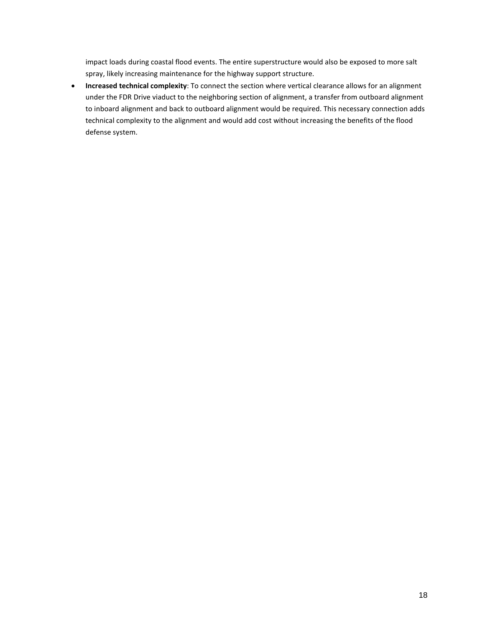impact loads during coastal flood events. The entire superstructure would also be exposed to more salt spray, likely increasing maintenance for the highway support structure.

 **Increased technical complexity**: To connect the section where vertical clearance allows for an alignment under the FDR Drive viaduct to the neighboring section of alignment, a transfer from outboard alignment to inboard alignment and back to outboard alignment would be required. This necessary connection adds technical complexity to the alignment and would add cost without increasing the benefits of the flood defense system.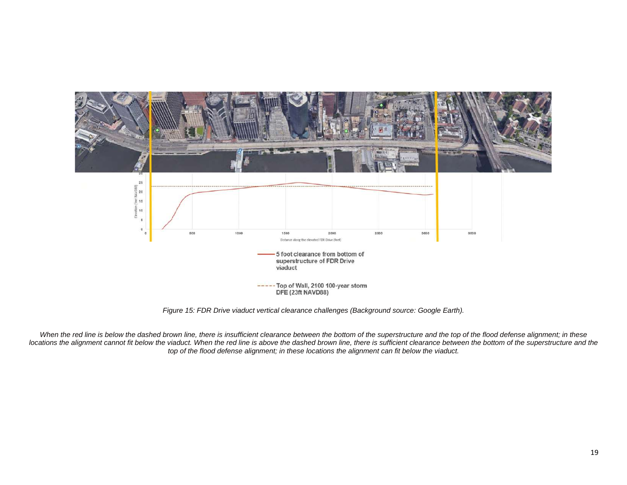

*Figure 15: FDR Drive viaduct vertical clearance challenges (Background source: Google Earth).* 

<span id="page-18-0"></span>When the red line is below the dashed brown line, there is insufficient clearance between the bottom of the superstructure and the top of the flood defense alignment; in these locations the alignment cannot fit below the viaduct. When the red line is above the dashed brown line, there is sufficient clearance between the bottom of the superstructure and the *top of the flood defense alignment; in these locations the alignment can fit below the viaduct.*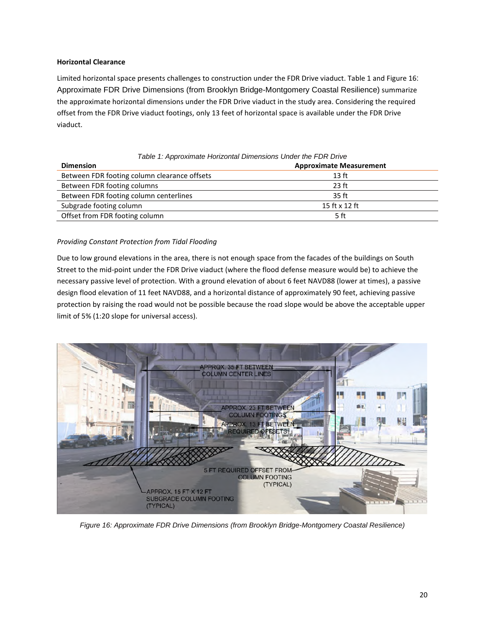#### **Horizontal Clearance**

Limited horizontal space presents challenges to construction under the FDR Drive viaduct. [Table 1 a](#page-19-0)n[d Figure 16](#page-19-1)[:](#page-19-1)  [Approximate FDR Drive Dimensions \(from Brooklyn Bridge-Montgomery Coastal Resilience\)](#page-19-1) summarize the approximate horizontal dimensions under the FDR Drive viaduct in the study area. Considering the required offset from the FDR Drive viaduct footings, only 13 feet of horizontal space is available under the FDR Drive viaduct.

<span id="page-19-0"></span>

| Table 1: Approximate Horizontal Dimensions Under the FDR Drive |                                |  |  |  |
|----------------------------------------------------------------|--------------------------------|--|--|--|
| <b>Dimension</b>                                               | <b>Approximate Measurement</b> |  |  |  |
| Between FDR footing column clearance offsets                   | 13 <sub>ft</sub>               |  |  |  |
| Between FDR footing columns                                    | $23$ ft                        |  |  |  |
| Between FDR footing column centerlines                         | 35 ft                          |  |  |  |
| Subgrade footing column                                        | 15 ft x 12 ft                  |  |  |  |
| Offset from FDR footing column                                 | 5 ft                           |  |  |  |

## *Providing Constant Protection from Tidal Flooding*

Due to low ground elevations in the area, there is not enough space from the facades of the buildings on South Street to the mid-point under the FDR Drive viaduct (where the flood defense measure would be) to achieve the necessary passive level of protection. With a ground elevation of about 6 feet NAVD88 (lower at times), a passive design flood elevation of 11 feet NAVD88, and a horizontal distance of approximately 90 feet, achieving passive protection by raising the road would not be possible because the road slope would be above the acceptable upper limit of 5% (1:20 slope for universal access).



<span id="page-19-1"></span>*Figure 16: Approximate FDR Drive Dimensions (from Brooklyn Bridge-Montgomery Coastal Resilience)*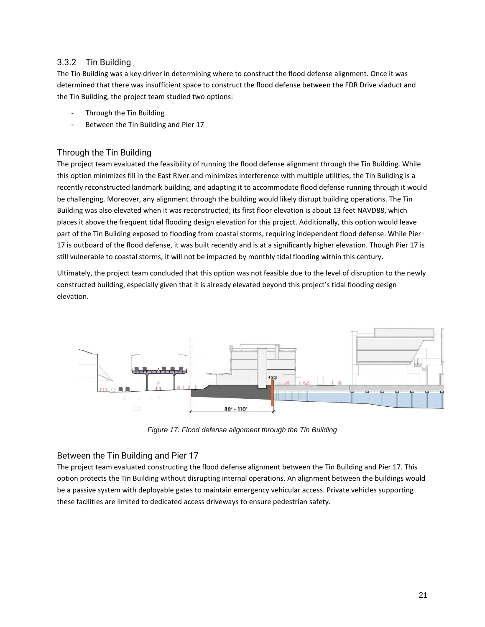## <span id="page-20-0"></span>3.3.2 Tin Building

The Tin Building was a key driver in determining where to construct the flood defense alignment. Once it was determined that there was insufficient space to construct the flood defense between the FDR Drive viaduct and the Tin Building, the project team studied two options:

- Through the Tin Building
- Between the Tin Building and Pier 17

## Through the Tin Building

The project team evaluated the feasibility of running the flood defense alignment through the Tin Building. While this option minimizes fill in the East River and minimizes interference with multiple utilities, the Tin Building is a recently reconstructed landmark building, and adapting it to accommodate flood defense running through it would be challenging. Moreover, any alignment through the building would likely disrupt building operations. The Tin Building was also elevated when it was reconstructed; its first floor elevation is about 13 feet NAVD88, which places it above the frequent tidal flooding design elevation for this project. Additionally, this option would leave part of the Tin Building exposed to flooding from coastal storms, requiring independent flood defense. While Pier 17 is outboard of the flood defense, it was built recently and is at a significantly higher elevation. Though Pier 17 is still vulnerable to coastal storms, it will not be impacted by monthly tidal flooding within this century.

Ultimately, the project team concluded that this option was not feasible due to the level of disruption to the newly constructed building, especially given that it is already elevated beyond this project's tidal flooding design elevation.



*Figure 17: Flood defense alignment through the Tin Building* 

### Between the Tin Building and Pier 17

The project team evaluated constructing the flood defense alignment between the Tin Building and Pier 17. This option protects the Tin Building without disrupting internal operations. An alignment between the buildings would be a passive system with deployable gates to maintain emergency vehicular access. Private vehicles supporting these facilities are limited to dedicated access driveways to ensure pedestrian safety.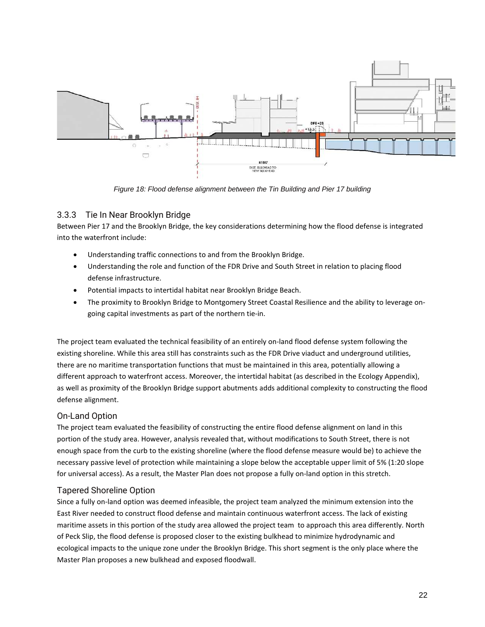

*Figure 18: Flood defense alignment between the Tin Building and Pier 17 building* 

## <span id="page-21-0"></span>3.3.3 Tie In Near Brooklyn Bridge

Between Pier 17 and the Brooklyn Bridge, the key considerations determining how the flood defense is integrated into the waterfront include:

- Understanding traffic connections to and from the Brooklyn Bridge.
- Understanding the role and function of the FDR Drive and South Street in relation to placing flood defense infrastructure.
- Potential impacts to intertidal habitat near Brooklyn Bridge Beach.
- The proximity to Brooklyn Bridge to Montgomery Street Coastal Resilience and the ability to leverage ongoing capital investments as part of the northern tie-in.

The project team evaluated the technical feasibility of an entirely on-land flood defense system following the existing shoreline. While this area still has constraints such as the FDR Drive viaduct and underground utilities, there are no maritime transportation functions that must be maintained in this area, potentially allowing a different approach to waterfront access. Moreover, the intertidal habitat (as described in the Ecology Appendix), as well as proximity of the Brooklyn Bridge support abutments adds additional complexity to constructing the flood defense alignment.

## On-Land Option

The project team evaluated the feasibility of constructing the entire flood defense alignment on land in this portion of the study area. However, analysis revealed that, without modifications to South Street, there is not enough space from the curb to the existing shoreline (where the flood defense measure would be) to achieve the necessary passive level of protection while maintaining a slope below the acceptable upper limit of 5% (1:20 slope for universal access). As a result, the Master Plan does not propose a fully on-land option in this stretch.

## Tapered Shoreline Option

Since a fully on-land option was deemed infeasible, the project team analyzed the minimum extension into the East River needed to construct flood defense and maintain continuous waterfront access. The lack of existing maritime assets in this portion of the study area allowed the project team to approach this area differently. North of Peck Slip, the flood defense is proposed closer to the existing bulkhead to minimize hydrodynamic and ecological impacts to the unique zone under the Brooklyn Bridge. This short segment is the only place where the Master Plan proposes a new bulkhead and exposed floodwall.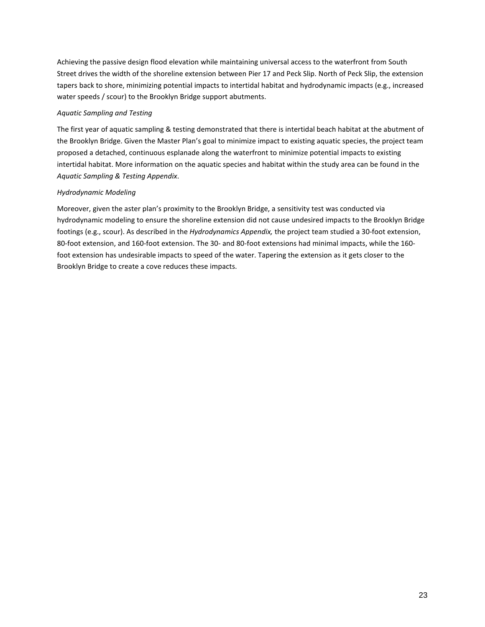Achieving the passive design flood elevation while maintaining universal access to the waterfront from South Street drives the width of the shoreline extension between Pier 17 and Peck Slip. North of Peck Slip, the extension tapers back to shore, minimizing potential impacts to intertidal habitat and hydrodynamic impacts (e.g., increased water speeds / scour) to the Brooklyn Bridge support abutments.

#### *Aquatic Sampling and Testing*

The first year of aquatic sampling & testing demonstrated that there is intertidal beach habitat at the abutment of the Brooklyn Bridge. Given the Master Plan's goal to minimize impact to existing aquatic species, the project team proposed a detached, continuous esplanade along the waterfront to minimize potential impacts to existing intertidal habitat. More information on the aquatic species and habitat within the study area can be found in the *Aquatic Sampling & Testing Appendix*.

#### *Hydrodynamic Modeling*

Moreover, given the aster plan's proximity to the Brooklyn Bridge, a sensitivity test was conducted via hydrodynamic modeling to ensure the shoreline extension did not cause undesired impacts to the Brooklyn Bridge footings (e.g., scour). As described in the *Hydrodynamics Appendix,* the project team studied a 30-foot extension, 80-foot extension, and 160-foot extension. The 30- and 80-foot extensions had minimal impacts, while the 160 foot extension has undesirable impacts to speed of the water. Tapering the extension as it gets closer to the Brooklyn Bridge to create a cove reduces these impacts.